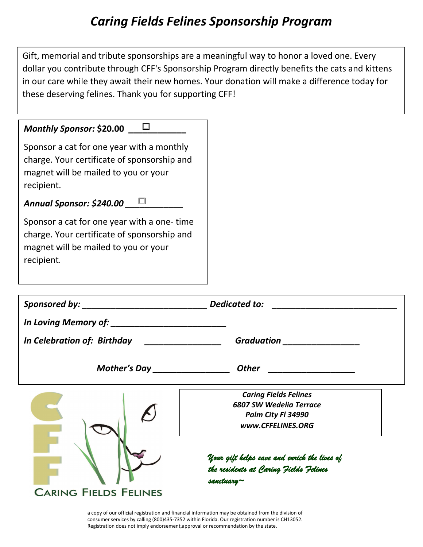## *Caring Fields Felines Sponsorship Program*

Gift, memorial and tribute sponsorships are a meaningful way to honor a loved one. Every dollar you contribute through CFF's Sponsorship Program directly benefits the cats and kittens in our care while they await their new homes. Your donation will make a difference today for these deserving felines. Thank you for supporting CFF!

| $\Box$<br>Monthly Sponsor: \$20.00<br>Sponsor a cat for one year with a monthly<br>charge. Your certificate of sponsorship and<br>magnet will be mailed to you or your<br>recipient.<br>Annual Sponsor: \$240.00 $\Box$<br>Sponsor a cat for one year with a one-time |                                                                                                            |
|-----------------------------------------------------------------------------------------------------------------------------------------------------------------------------------------------------------------------------------------------------------------------|------------------------------------------------------------------------------------------------------------|
| charge. Your certificate of sponsorship and<br>magnet will be mailed to you or your<br>recipient.                                                                                                                                                                     |                                                                                                            |
|                                                                                                                                                                                                                                                                       |                                                                                                            |
|                                                                                                                                                                                                                                                                       |                                                                                                            |
|                                                                                                                                                                                                                                                                       | Graduation ______________                                                                                  |
|                                                                                                                                                                                                                                                                       | <b>Other</b><br><u> 1980 - John Stein, amerikansk politiker</u>                                            |
|                                                                                                                                                                                                                                                                       | <b>Caring Fields Felines</b><br><b>6807 SW Wedelia Terrace</b><br>Palm City Fl 34990<br>www.CFFELINES.ORG  |
| <b>CARING FIELDS FELINES</b>                                                                                                                                                                                                                                          | Your gift helps save and enrich the lives of<br>the residents at Caring Fields Felines<br>sanctuary $\sim$ |

a copy of our official registration and financial information may be obtained from the division of consumer services by calling (800)435-7352 within Florida. Our registration number is CH13052. Registration does not imply endorsement,approval or recommendation by the state.